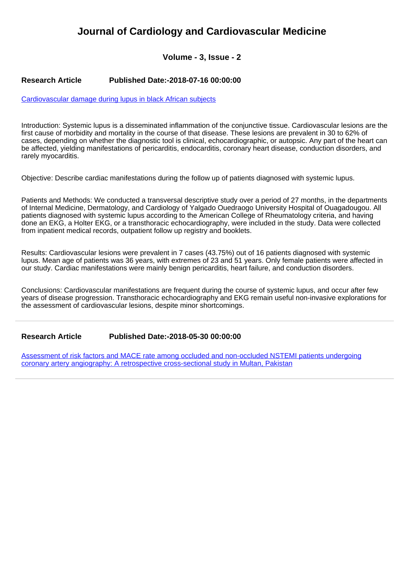## **Journal of Cardiology and Cardiovascular Medicine**

**Volume - 3, Issue - 2**

## **Research Article Published Date:-2018-07-16 00:00:00**

[Cardiovascular damage during lupus in black African subjects](https://www.cardiologymedjournal.com/articles/jccm-aid1024.pdf)

Introduction: Systemic lupus is a disseminated inflammation of the conjunctive tissue. Cardiovascular lesions are the first cause of morbidity and mortality in the course of that disease. These lesions are prevalent in 30 to 62% of cases, depending on whether the diagnostic tool is clinical, echocardiographic, or autopsic. Any part of the heart can be affected, yielding manifestations of pericarditis, endocarditis, coronary heart disease, conduction disorders, and rarely myocarditis.

Objective: Describe cardiac manifestations during the follow up of patients diagnosed with systemic lupus.

Patients and Methods: We conducted a transversal descriptive study over a period of 27 months, in the departments of Internal Medicine, Dermatology, and Cardiology of Yalgado Ouedraogo University Hospital of Ouagadougou. All patients diagnosed with systemic lupus according to the American College of Rheumatology criteria, and having done an EKG, a Holter EKG, or a transthoracic echocardiography, were included in the study. Data were collected from inpatient medical records, outpatient follow up registry and booklets.

Results: Cardiovascular lesions were prevalent in 7 cases (43.75%) out of 16 patients diagnosed with systemic lupus. Mean age of patients was 36 years, with extremes of 23 and 51 years. Only female patients were affected in our study. Cardiac manifestations were mainly benign pericarditis, heart failure, and conduction disorders.

Conclusions: Cardiovascular manifestations are frequent during the course of systemic lupus, and occur after few years of disease progression. Transthoracic echocardiography and EKG remain useful non-invasive explorations for the assessment of cardiovascular lesions, despite minor shortcomings.

## **Research Article Published Date:-2018-05-30 00:00:00**

[Assessment of risk factors and MACE rate among occluded and non-occluded NSTEMI patients undergoing](https://www.cardiologymedjournal.com/articles/jccm-aid1023.pdf) [coronary artery angiography: A retrospective cross-sectional study in Multan, Pakistan](https://www.cardiologymedjournal.com/articles/jccm-aid1023.pdf)